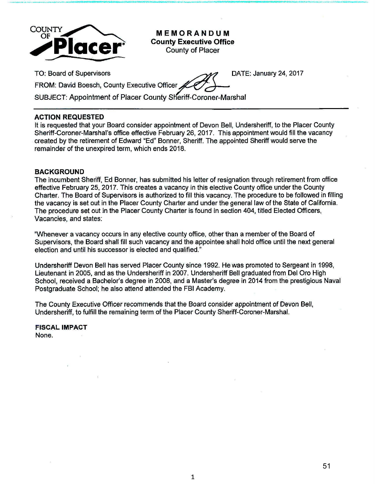

**MEMORANDUM County Executive Office**  County of Placer

TO: Board of Supervisors . ./~ DATE: January 24,2017

FROM: David Boesch, County Executive Officer

SUBJECT: Appointment of Placer County SHeriff-Coroner-Marshal

## **ACTION REQUESTED**

It is requested that your Board consider appointment of Devon Bell, Undersheriff, to the Placer County Sheriff-Coroner-Marshal's office effective February 26, 2017. This appointment would fill the vacancy created by the retirement of Edward ~Ed" Bonner, Sheriff. The appointed Sheriff would serve the remainder of the unexpired term, which ends 2018.

## **BACKGROUND**

The incumbent Sheriff, Ed Bonner, has submitted his letter of resignation through retirement from office effective February 25, 2017. This creates a vacancy in this elective County office under the County Charter. The Board of Supervisors is authorized to fill this vacancy. The procedure to be followed in filling the vacancy is set out in the Placer County Charter and under the general law of the State of California. The procedure set out in the Placer County Charter is found in section 404, titled Elected Officers, Vacancies, and states:

"Whenever a vacancy occurs in any elective county office, other than a member of the Board of Supervisors, the Board shall fill such vacancy and the appointee shall hold office until the next general election and until his successor is elected and qualified."

Undersheriff Devon Bell has served Placer County since 1992. He was promoted to Sergeant in 1998, Lieutenant in 2005, and as the Undersheriff in 2007. Undersheriff Bell graduated from Del Oro High School, received a Bachelor's degree in 2008, and a Master's degree in 2014 from the prestigious Naval Postgraduate School; he also attend attended the FBI Academy.

The County Executive Officer recommends that the Board consider appointment of Devon Bell, Undersheriff, to fulfill the remaining term of the Placer County Sheriff-Coroner-Marshal.

**FISCAL IMPACT**  None.